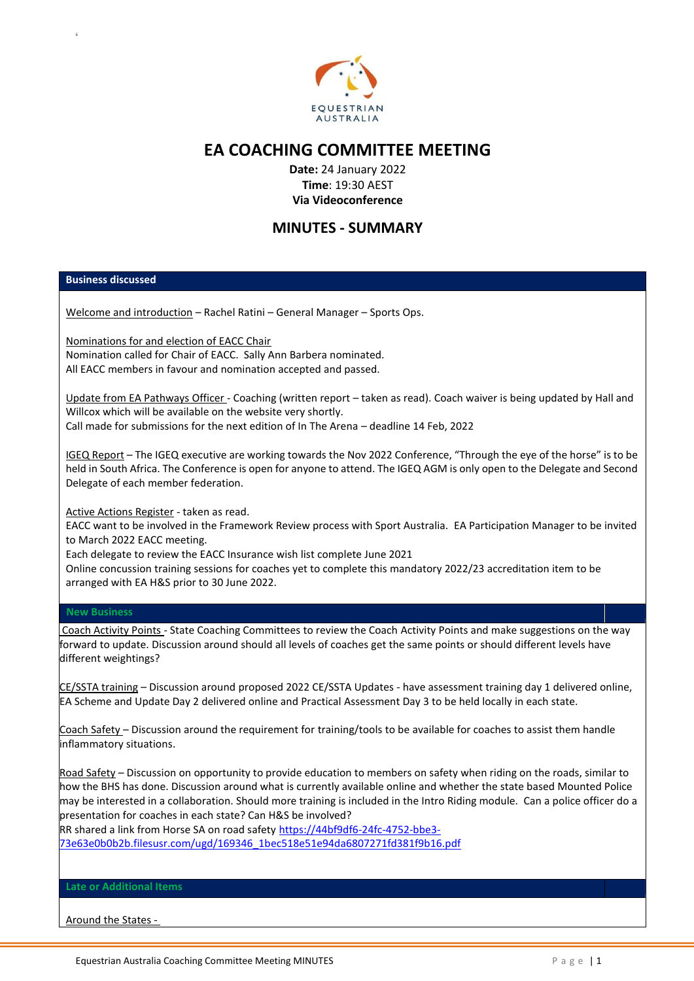

## **EA COACHING COMMITTEE MEETING**

**Date:** 24 January 2022 **Time**: 19:30 AEST **Via Videoconference**

## **MINUTES - SUMMARY**

## **Business discussed**

6

Welcome and introduction – Rachel Ratini – General Manager – Sports Ops.

Nominations for and election of EACC Chair Nomination called for Chair of EACC. Sally Ann Barbera nominated. All EACC members in favour and nomination accepted and passed.

Update from EA Pathways Officer - Coaching (written report – taken as read). Coach waiver is being updated by Hall and Willcox which will be available on the website very shortly. Call made for submissions for the next edition of In The Arena – deadline 14 Feb, 2022

IGEQ Report – The IGEQ executive are working towards the Nov 2022 Conference, "Through the eye of the horse" is to be held in South Africa. The Conference is open for anyone to attend. The IGEQ AGM is only open to the Delegate and Second

Active Actions Register - taken as read.

Delegate of each member federation.

EACC want to be involved in the Framework Review process with Sport Australia. EA Participation Manager to be invited to March 2022 EACC meeting.

Each delegate to review the EACC Insurance wish list complete June 2021

Online concussion training sessions for coaches yet to complete this mandatory 2022/23 accreditation item to be arranged with EA H&S prior to 30 June 2022.

## **New Business**

Coach Activity Points - State Coaching Committees to review the Coach Activity Points and make suggestions on the way forward to update. Discussion around should all levels of coaches get the same points or should different levels have different weightings?

CE/SSTA training – Discussion around proposed 2022 CE/SSTA Updates - have assessment training day 1 delivered online, EA Scheme and Update Day 2 delivered online and Practical Assessment Day 3 to be held locally in each state.

Coach Safety - Discussion around the requirement for training/tools to be available for coaches to assist them handle inflammatory situations.

Road Safety – Discussion on opportunity to provide education to members on safety when riding on the roads, similar to how the BHS has done. Discussion around what is currently available online and whether the state based Mounted Police may be interested in a collaboration. Should more training is included in the Intro Riding module. Can a police officer do a presentation for coaches in each state? Can H&S be involved?

RR shared a link from Horse SA on road safety [https://44bf9df6-24fc-4752-bbe3-](https://44bf9df6-24fc-4752-bbe3-73e63e0b0b2b.filesusr.com/ugd/169346_1bec518e51e94da6807271fd381f9b16.pdf) [73e63e0b0b2b.filesusr.com/ugd/169346\\_1bec518e51e94da6807271fd381f9b16.pdf](https://44bf9df6-24fc-4752-bbe3-73e63e0b0b2b.filesusr.com/ugd/169346_1bec518e51e94da6807271fd381f9b16.pdf)

**Late or Additional Items**

Around the States -